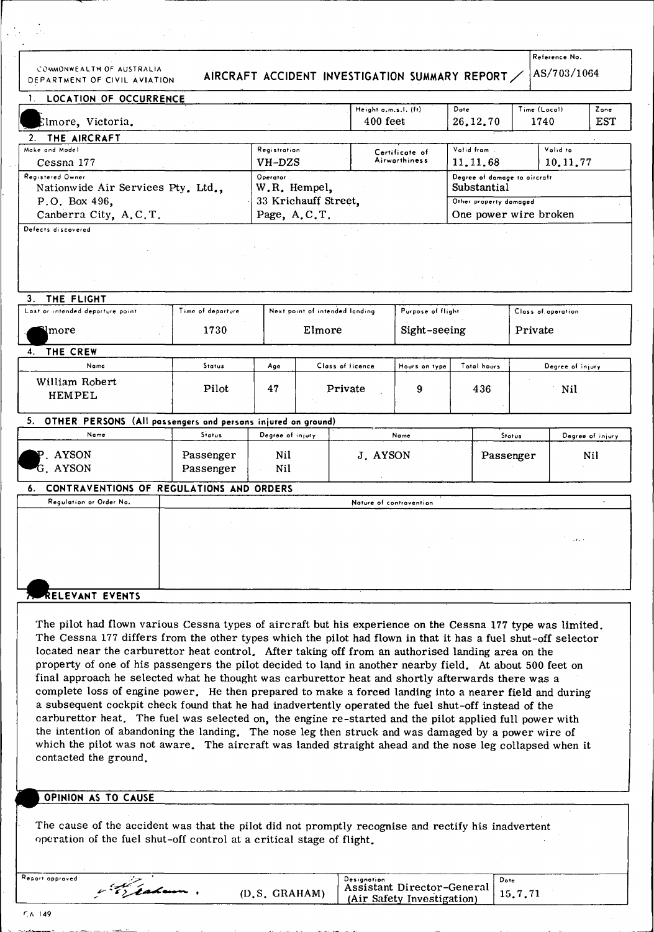COMMONWEALTH OF AUSTRALIA

## DEPARTMENT OF CIVIL AVIATION AIRCRAFT ACCIDENT INVESTIGATION SUMMARY REPORT

Reference No. AS/703/1064

| LOCATION OF OCCURRENCE                                                                           |                   |                          |                                    |                         | Height a.m.s.l. (ft)            | Dote                                                                  | Time (Local)     |                     | Zone |
|--------------------------------------------------------------------------------------------------|-------------------|--------------------------|------------------------------------|-------------------------|---------------------------------|-----------------------------------------------------------------------|------------------|---------------------|------|
| Elmore, Victoria.                                                                                |                   |                          | 400 feet                           |                         | 26, 12, 70                      | 1740                                                                  |                  | <b>EST</b>          |      |
| THE AIRCRAFT<br>2.                                                                               |                   |                          |                                    |                         |                                 |                                                                       |                  |                     |      |
| Make and Model                                                                                   |                   | Registration             |                                    |                         | Certificate of<br>Airworthiness | Vatid from                                                            |                  | Valid to            |      |
| Cessna 177                                                                                       |                   | VH-DZS                   |                                    |                         |                                 | 11, 11, 68                                                            |                  | 10.11.77            |      |
| Registered Owner<br>Nationwide Air Services Pty. Ltd.,<br>P.O. Box 496,<br>Canberra City, A.C.T. |                   | Operator<br>W.R. Hempel, |                                    |                         |                                 | Degree of damage to aircraft<br>Substantial<br>Other property domaged |                  |                     |      |
|                                                                                                  |                   |                          | 33 Krichauff Street,               |                         |                                 |                                                                       |                  |                     |      |
|                                                                                                  |                   | Page, A.C.T.             |                                    |                         |                                 | One power wire broken                                                 |                  |                     |      |
| Defects discovered                                                                               |                   |                          |                                    |                         |                                 |                                                                       |                  |                     |      |
|                                                                                                  |                   |                          |                                    |                         |                                 |                                                                       |                  |                     |      |
|                                                                                                  |                   |                          |                                    |                         |                                 |                                                                       |                  |                     |      |
|                                                                                                  |                   |                          |                                    |                         |                                 |                                                                       |                  |                     |      |
|                                                                                                  |                   |                          |                                    |                         |                                 |                                                                       |                  |                     |      |
| THE FLIGHT<br>З.                                                                                 |                   |                          |                                    |                         |                                 |                                                                       |                  |                     |      |
| Last or intended departure point                                                                 | Time of departure |                          | Next point of intended landing     |                         | Purpose of flight               |                                                                       |                  | Class of operation  |      |
| more                                                                                             | 1730              | Elmore                   |                                    |                         | Sight-seeing                    | Private                                                               |                  |                     |      |
| 4. THE CREW                                                                                      |                   |                          |                                    |                         |                                 |                                                                       |                  |                     |      |
| Name                                                                                             | Status            | Age                      |                                    | Class of licence        | Hours on type                   | Total hours                                                           | Degree of injury |                     |      |
| William Robert<br><b>HEMPEL</b>                                                                  | Pilot             | 47                       |                                    | Private                 | 9                               | 436                                                                   | Nil              |                     |      |
| OTHER PERSONS (All passengers and persons injured on ground)<br>5.                               |                   |                          |                                    |                         |                                 |                                                                       |                  |                     |      |
| Name                                                                                             | Status            |                          | Degree of injury<br>Name<br>Status |                         |                                 |                                                                       | Degree of injury |                     |      |
|                                                                                                  |                   |                          |                                    |                         | J. AYSON                        |                                                                       | Passenger        |                     |      |
| P. AYSON                                                                                         | Passenger         | Nil                      |                                    |                         |                                 |                                                                       |                  |                     | Nil  |
| G. AYSON                                                                                         | Passenger         | Nil                      |                                    |                         |                                 |                                                                       |                  |                     |      |
| CONTRAVENTIONS OF REGULATIONS AND ORDERS                                                         |                   |                          |                                    |                         |                                 |                                                                       |                  |                     |      |
| Regulation or Order No.                                                                          |                   |                          |                                    | Noture of contravention |                                 |                                                                       |                  |                     |      |
|                                                                                                  |                   |                          |                                    |                         |                                 |                                                                       |                  |                     |      |
|                                                                                                  |                   |                          |                                    |                         |                                 |                                                                       |                  |                     |      |
|                                                                                                  |                   |                          |                                    |                         |                                 |                                                                       |                  | $\sim 1000$ $^{-1}$ |      |
|                                                                                                  |                   |                          |                                    |                         |                                 |                                                                       |                  |                     |      |
|                                                                                                  |                   |                          |                                    |                         |                                 |                                                                       |                  |                     |      |
|                                                                                                  |                   |                          |                                    |                         |                                 |                                                                       |                  |                     |      |
| RELEVANT EVENTS                                                                                  |                   |                          |                                    |                         |                                 |                                                                       |                  |                     |      |
|                                                                                                  |                   |                          |                                    |                         |                                 |                                                                       |                  |                     |      |

located near the carburettor heat control. After taking off from an authorised landing area on the property of one of his passengers the pilot decided to land in another nearby field. At about 500 feet on final approach he selected what he thought was carburettor heat and shortly afterwards there was a complete loss of engine power. He then prepared to make a forced landing into a nearer field and during a subsequent cockpit check found that he had inadvertently operated the fuel shut-off instead of the carburettor heat. The fuel was selected on, the engine re-started and the pilot applied full power with the intention of abandoning the landing. The nose leg then struck and was damaged by a power wire of which the pilot was not aware. The aircraft was landed straight ahead and the nose leg collapsed when it contacted the ground.

## **OPINION AS TO CAUSE**

The cause of the accident was that the pilot did not promptly recognise and rectify his inadvertent operation of the fuel shut-off control at a critical stage of flight.

| Report approved    |         | . .<br><b>Designation</b>                                       | Date     |
|--------------------|---------|-----------------------------------------------------------------|----------|
| $-$ - deep and $-$ | GRAHAM) | Assistant Director-General<br>safety<br>Investigation)<br>- (An | 10. I.II |

 $6.4149$